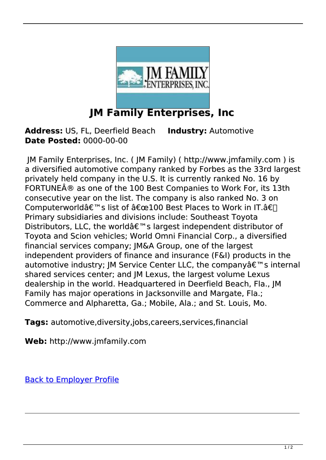

**Address:** US, FL, Deerfield Beach **Industry:** Automotive **Date Posted:** 0000-00-00

 JM Family Enterprises, Inc. ( JM Family) ( http://www.jmfamily.com ) is a diversified automotive company ranked by Forbes as the 33rd largest privately held company in the U.S. It is currently ranked No. 16 by FORTUNE® as one of the 100 Best Companies to Work For, its 13th consecutive year on the list. The company is also ranked No. 3 on Computerworld's list of "100 Best Places to Work in IT.â€∏ Primary subsidiaries and divisions include: Southeast Toyota Distributors, LLC, the worldâ€<sup>™</sup>s largest independent distributor of Toyota and Scion vehicles; World Omni Financial Corp., a diversified financial services company; JM&A Group, one of the largest independent providers of finance and insurance (F&I) products in the automotive industry; JM Service Center LLC, the company $\hat{a} \in \mathbb{M}$ s internal shared services center; and JM Lexus, the largest volume Lexus dealership in the world. Headquartered in Deerfield Beach, Fla., JM Family has major operations in Jacksonville and Margate, Fla.; Commerce and Alpharetta, Ga.; Mobile, Ala.; and St. Louis, Mo.

**Tags:** automotive,diversity,jobs,careers,services,financial

**Web:** http://www.jmfamily.com

[Back to Employer Profile](https://www.Diversityzone.net/employer/https://www.diversityzone.net/employer/jm-family-enterprises--inc-215)